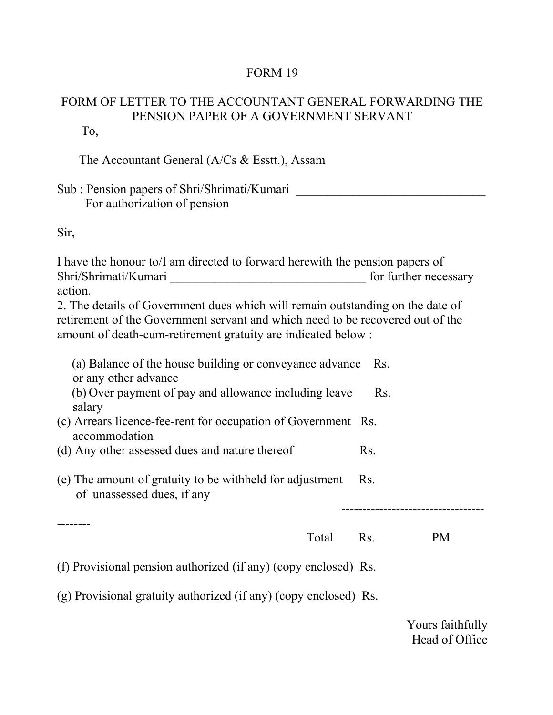## FORM 19

## FORM OF LETTER TO THE ACCOUNTANT GENERAL FORWARDING THE PENSION PAPER OF A GOVERNMENT SERVANT

To,

The Accountant General (A/Cs & Esstt.), Assam

Sub : Pension papers of Shri/Shrimati/Kumari \_\_\_\_\_\_\_\_\_\_\_\_\_\_\_\_\_\_\_\_\_\_\_\_\_\_\_\_\_\_\_\_\_\_\_ For authorization of pension

Sir,

I have the honour to/I am directed to forward herewith the pension papers of Shri/Shrimati/Kumari for further necessary action.

2. The details of Government dues which will remain outstanding on the date of retirement of the Government servant and which need to be recovered out of the amount of death-cum-retirement gratuity are indicated below :

(a) Balance of the house building or conveyance advance Rs. or any other advance (b) Over payment of pay and allowance including leave Rs. salary (c) Arrears licence-fee-rent for occupation of Government Rs. accommodation

(d) Any other assessed dues and nature thereof Rs.

(e) The amount of gratuity to be withheld for adjustment Rs. of unassessed dues, if any

--------

## Total Rs. PM

----------------------------------

(f) Provisional pension authorized (if any) (copy enclosed) Rs.

(g) Provisional gratuity authorized (if any) (copy enclosed) Rs.

Yours faithfully Head of Office